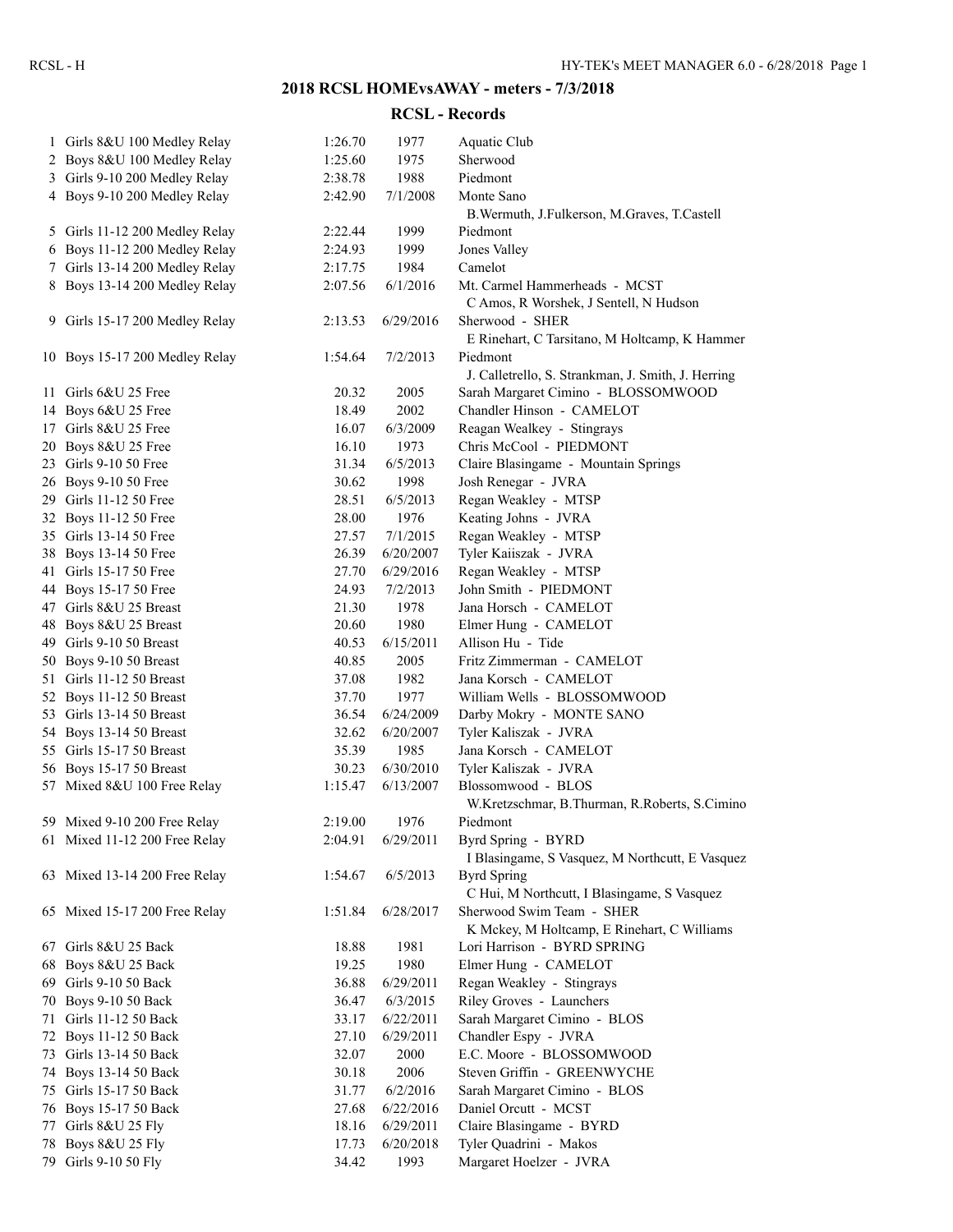## **2018 RCSL HOMEvsAWAY - meters - 7/3/2018**

## **RCSL - Records**

| $\mathbf{1}$ | Girls 8&U 100 Medley Relay                     | 1:26.70 | 1977                  | Aquatic Club                                       |
|--------------|------------------------------------------------|---------|-----------------------|----------------------------------------------------|
|              | 2 Boys 8&U 100 Medley Relay                    | 1:25.60 | 1975                  | Sherwood                                           |
|              | 3 Girls 9-10 200 Medley Relay                  | 2:38.78 | 1988                  | Piedmont                                           |
|              | 4 Boys 9-10 200 Medley Relay                   | 2:42.90 | 7/1/2008              | Monte Sano                                         |
|              |                                                |         |                       | B. Wermuth, J. Fulkerson, M. Graves, T. Castell    |
|              | 5 Girls 11-12 200 Medley Relay                 | 2:22.44 | 1999                  | Piedmont                                           |
|              | 6 Boys 11-12 200 Medley Relay                  | 2:24.93 | 1999                  | Jones Valley                                       |
|              | 7 Girls 13-14 200 Medley Relay                 | 2:17.75 | 1984                  | Camelot                                            |
|              | 8 Boys 13-14 200 Medley Relay                  | 2:07.56 | 6/1/2016              | Mt. Carmel Hammerheads - MCST                      |
|              |                                                |         |                       | C Amos, R Worshek, J Sentell, N Hudson             |
|              | 9 Girls 15-17 200 Medley Relay                 | 2:13.53 | 6/29/2016             | Sherwood - SHER                                    |
|              |                                                |         |                       | E Rinehart, C Tarsitano, M Holtcamp, K Hammer      |
|              | 10 Boys 15-17 200 Medley Relay                 | 1:54.64 | 7/2/2013              | Piedmont                                           |
|              |                                                |         |                       | J. Calletrello, S. Strankman, J. Smith, J. Herring |
|              | 11 Girls 6&U 25 Free                           | 20.32   | 2005                  | Sarah Margaret Cimino - BLOSSOMWOOD                |
|              | 14 Boys 6&U 25 Free                            | 18.49   | 2002                  | Chandler Hinson - CAMELOT                          |
|              | 17 Girls 8&U 25 Free                           | 16.07   | 6/3/2009              | Reagan Wealkey - Stingrays                         |
|              | 20 Boys 8&U 25 Free                            | 16.10   | 1973                  | Chris McCool - PIEDMONT                            |
|              | 23 Girls 9-10 50 Free                          | 31.34   | 6/5/2013              | Claire Blasingame - Mountain Springs               |
|              | 26 Boys 9-10 50 Free                           | 30.62   | 1998                  | Josh Renegar - JVRA                                |
|              | 29 Girls 11-12 50 Free                         | 28.51   | 6/5/2013              | Regan Weakley - MTSP                               |
|              | 32 Boys 11-12 50 Free                          | 28.00   | 1976                  | Keating Johns - JVRA                               |
|              | 35 Girls 13-14 50 Free                         | 27.57   | 7/1/2015              | Regan Weakley - MTSP                               |
|              | 38 Boys 13-14 50 Free                          | 26.39   | 6/20/2007             | Tyler Kaiiszak - JVRA                              |
|              | 41 Girls 15-17 50 Free                         | 27.70   | 6/29/2016             | Regan Weakley - MTSP                               |
|              | 44 Boys 15-17 50 Free                          | 24.93   | 7/2/2013              | John Smith - PIEDMONT                              |
|              | 47 Girls 8&U 25 Breast                         | 21.30   | 1978                  | Jana Horsch - CAMELOT                              |
|              | 48 Boys 8&U 25 Breast                          | 20.60   | 1980                  | Elmer Hung - CAMELOT                               |
|              | 49 Girls 9-10 50 Breast                        | 40.53   | 6/15/2011             | Allison Hu - Tide                                  |
|              | 50 Boys 9-10 50 Breast                         | 40.85   | 2005                  | Fritz Zimmerman - CAMELOT                          |
|              | 51 Girls 11-12 50 Breast                       | 37.08   | 1982                  | Jana Korsch - CAMELOT                              |
|              | 52 Boys 11-12 50 Breast                        | 37.70   | 1977                  | William Wells - BLOSSOMWOOD                        |
|              | 53 Girls 13-14 50 Breast                       | 36.54   | 6/24/2009             | Darby Mokry - MONTE SANO                           |
|              | 54 Boys 13-14 50 Breast                        | 32.62   | 6/20/2007             | Tyler Kaliszak - JVRA                              |
|              | 55 Girls 15-17 50 Breast                       | 35.39   | 1985                  | Jana Korsch - CAMELOT                              |
|              | 56 Boys 15-17 50 Breast                        | 30.23   | 6/30/2010             | Tyler Kaliszak - JVRA                              |
|              | 57 Mixed 8&U 100 Free Relay                    | 1:15.47 | 6/13/2007             | Blossomwood - BLOS                                 |
|              |                                                |         |                       | W.Kretzschmar, B.Thurman, R.Roberts, S.Cimino      |
|              | 59 Mixed 9-10 200 Free Relay                   | 2:19.00 | 1976                  | Piedmont                                           |
|              | 61 Mixed 11-12 200 Free Relay                  | 2:04.91 | 6/29/2011             | Byrd Spring - BYRD                                 |
|              |                                                |         |                       | I Blasingame, S Vasquez, M Northcutt, E Vasquez    |
|              | 63 Mixed 13-14 200 Free Relay                  | 1:54.67 | 6/5/2013              | <b>Byrd Spring</b>                                 |
|              |                                                |         |                       | C Hui, M Northcutt, I Blasingame, S Vasquez        |
|              | 65 Mixed 15-17 200 Free Relay                  | 1:51.84 | 6/28/2017             | Sherwood Swim Team - SHER                          |
|              |                                                |         |                       | K Mckey, M Holtcamp, E Rinehart, C Williams        |
|              | 67 Girls 8&U 25 Back                           | 18.88   | 1981                  | Lori Harrison - BYRD SPRING                        |
|              | 68 Boys 8&U 25 Back                            | 19.25   | 1980                  | Elmer Hung - CAMELOT                               |
|              | 69 Girls 9-10 50 Back                          | 36.88   | 6/29/2011             | Regan Weakley - Stingrays                          |
|              |                                                | 36.47   |                       | Riley Groves - Launchers                           |
|              | 70 Boys 9-10 50 Back<br>71 Girls 11-12 50 Back | 33.17   | 6/3/2015<br>6/22/2011 | Sarah Margaret Cimino - BLOS                       |
|              |                                                | 27.10   | 6/29/2011             | Chandler Espy - JVRA                               |
|              | 72 Boys 11-12 50 Back                          |         |                       |                                                    |
|              | 73 Girls 13-14 50 Back                         | 32.07   | 2000                  | E.C. Moore - BLOSSOMWOOD                           |
|              | 74 Boys 13-14 50 Back                          | 30.18   | 2006                  | Steven Griffin - GREENWYCHE                        |
|              | 75 Girls 15-17 50 Back                         | 31.77   | 6/2/2016              | Sarah Margaret Cimino - BLOS                       |
|              | 76 Boys 15-17 50 Back                          | 27.68   | 6/22/2016             | Daniel Orcutt - MCST                               |
| 77           | Girls 8&U 25 Fly                               | 18.16   | 6/29/2011             | Claire Blasingame - BYRD                           |
|              | 78 Boys 8&U 25 Fly                             | 17.73   | 6/20/2018             | Tyler Quadrini - Makos                             |
|              | 79 Girls 9-10 50 Fly                           | 34.42   | 1993                  | Margaret Hoelzer - JVRA                            |